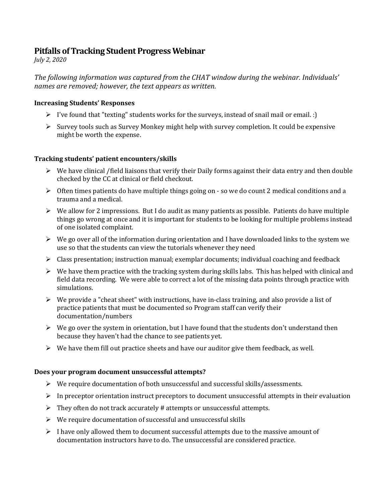# **Pitfalls of Tracking Student Progress Webinar**

*July 2, 2020*

The following information was captured from the CHAT window during the webinar. Individuals' *names are removed; however, the text appears as written.* 

# **Increasing Students' Responses**

- $\triangleright$  I've found that "texting" students works for the surveys, instead of snail mail or email. :)
- $\triangleright$  Survey tools such as Survey Monkey might help with survey completion. It could be expensive might be worth the expense.

### **Tracking students' patient encounters/skills**

- $\triangleright$  We have clinical /field liaisons that verify their Daily forms against their data entry and then double checked by the CC at clinical or field checkout.
- $\triangleright$  Often times patients do have multiple things going on so we do count 2 medical conditions and a trauma and a medical.
- $\triangleright$  We allow for 2 impressions. But I do audit as many patients as possible. Patients do have multiple things go wrong at once and it is important for students to be looking for multiple problems instead of one isolated complaint.
- $\triangleright$  We go over all of the information during orientation and I have downloaded links to the system we use so that the students can view the tutorials whenever they need
- $\triangleright$  Class presentation; instruction manual; exemplar documents; individual coaching and feedback
- $\triangleright$  We have them practice with the tracking system during skills labs. This has helped with clinical and field data recording. We were able to correct a lot of the missing data points through practice with simulations.
- $\triangleright$  We provide a "cheat sheet" with instructions, have in-class training, and also provide a list of practice patients that must be documented so Program staff can verify their documentation/numbers
- $\triangleright$  We go over the system in orientation, but I have found that the students don't understand then because they haven't had the chance to see patients yet.
- $\triangleright$  We have them fill out practice sheets and have our auditor give them feedback, as well.

#### **Does your program document unsuccessful attempts?**

- $\triangleright$  We require documentation of both unsuccessful and successful skills/assessments.
- $\triangleright$  In preceptor orientation instruct preceptors to document unsuccessful attempts in their evaluation
- $\triangleright$  They often do not track accurately # attempts or unsuccessful attempts.
- $\triangleright$  We require documentation of successful and unsuccessful skills
- $\triangleright$  I have only allowed them to document successful attempts due to the massive amount of documentation instructors have to do. The unsuccessful are considered practice.